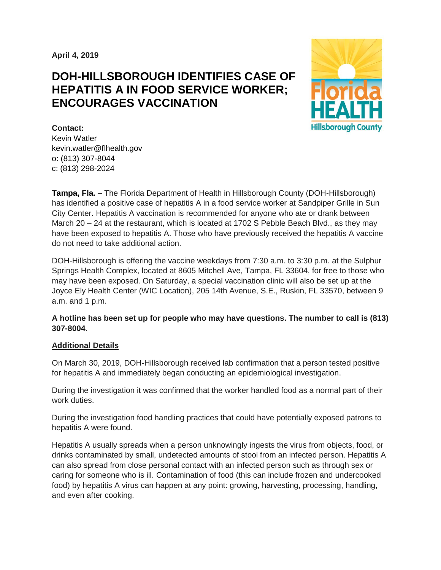**April 4, 2019**

# **DOH-HILLSBOROUGH IDENTIFIES CASE OF HEPATITIS A IN FOOD SERVICE WORKER; ENCOURAGES VACCINATION**



**Contact:**  Kevin Watler kevin.watler@flhealth.gov o: (813) 307-8044 c: (813) 298-2024

**Tampa, Fla.** – The Florida Department of Health in Hillsborough County (DOH-Hillsborough) has identified a positive case of hepatitis A in a food service worker at Sandpiper Grille in Sun City Center. Hepatitis A vaccination is recommended for anyone who ate or drank between March 20 – 24 at the restaurant, which is located at 1702 S Pebble Beach Blvd., as they may have been exposed to hepatitis A. Those who have previously received the hepatitis A vaccine do not need to take additional action.

DOH-Hillsborough is offering the vaccine weekdays from 7:30 a.m. to 3:30 p.m. at the Sulphur Springs Health Complex, located at 8605 Mitchell Ave, Tampa, FL 33604, for free to those who may have been exposed. On Saturday, a special vaccination clinic will also be set up at the Joyce Ely Health Center (WIC Location), 205 14th Avenue, S.E., Ruskin, FL 33570, between 9 a.m. and 1 p.m.

## **A hotline has been set up for people who may have questions. The number to call is (813) 307-8004.**

## **Additional Details**

On March 30, 2019, DOH-Hillsborough received lab confirmation that a person tested positive for hepatitis A and immediately began conducting an epidemiological investigation.

During the investigation it was confirmed that the worker handled food as a normal part of their work duties.

During the investigation food handling practices that could have potentially exposed patrons to hepatitis A were found.

Hepatitis A usually spreads when a person unknowingly ingests the virus from objects, food, or drinks contaminated by small, undetected amounts of stool from an infected person. Hepatitis A can also spread from close personal contact with an infected person such as through sex or caring for someone who is ill. Contamination of food (this can include frozen and undercooked food) by hepatitis A virus can happen at any point: growing, harvesting, processing, handling, and even after cooking.